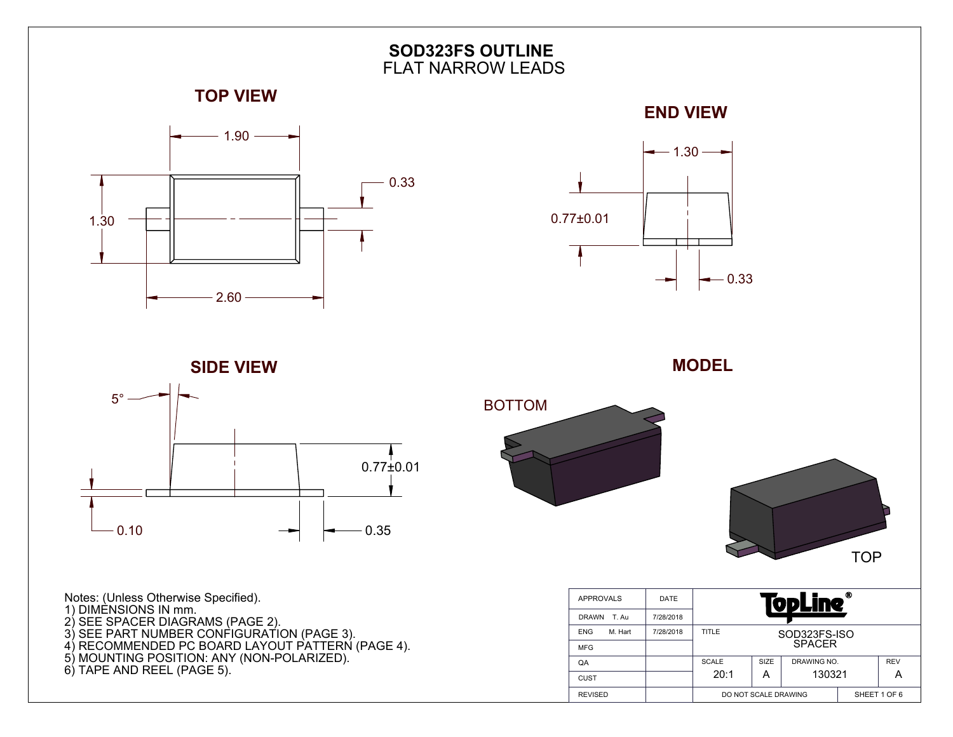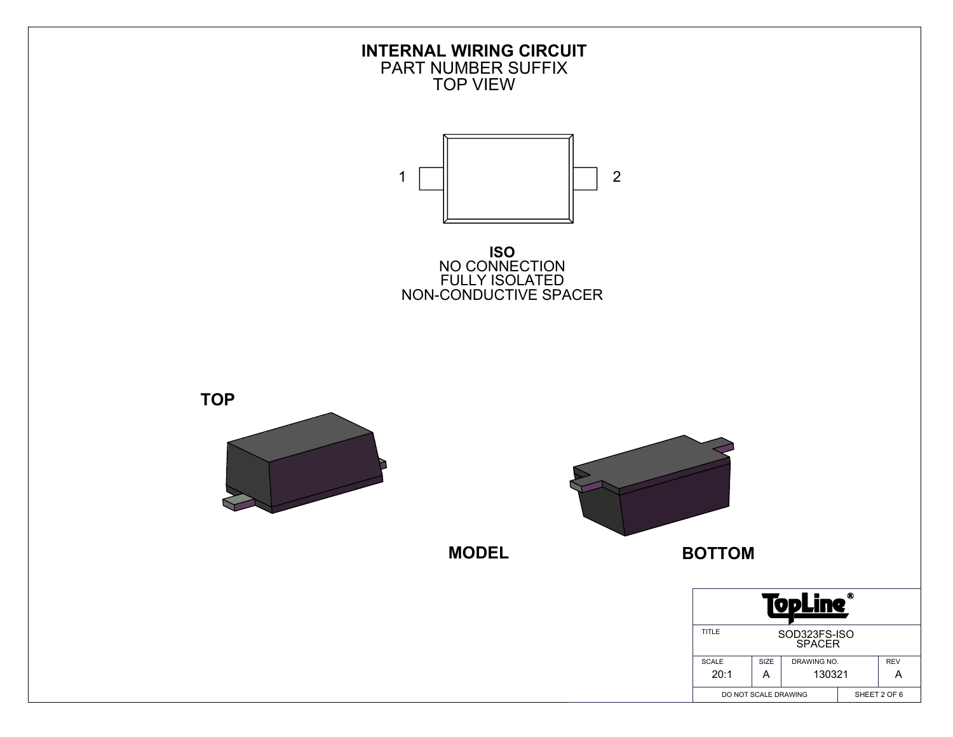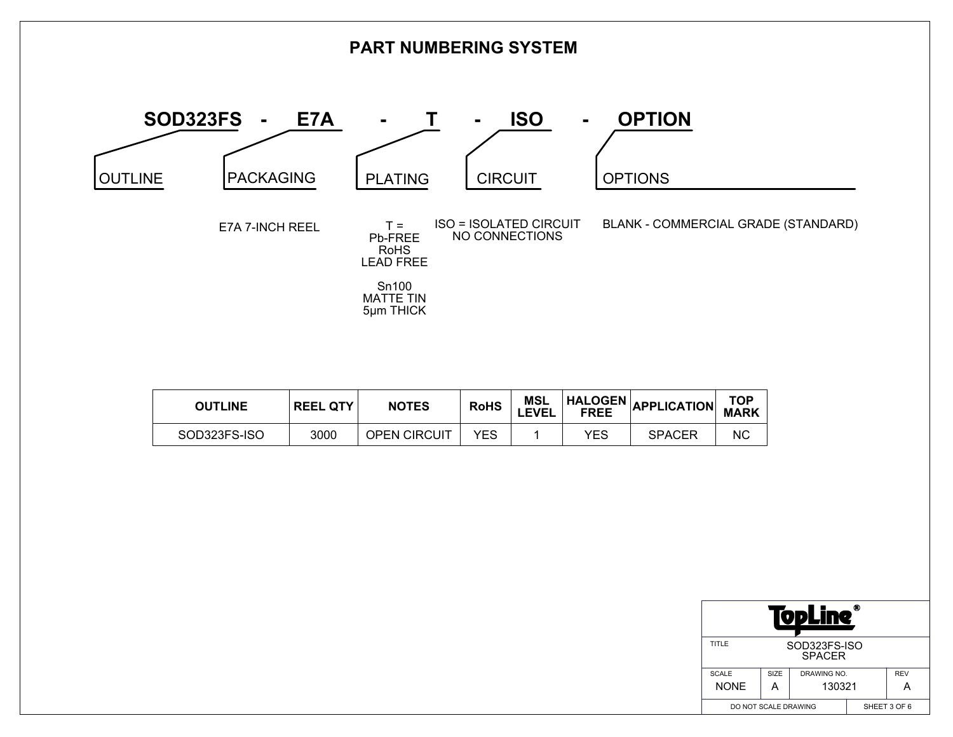

| <b>OUTLINE</b> | <b>REEL QTY</b> | <b>NOTES</b>        | <b>RoHS</b> | <b>MSL</b><br><b>LEVEL</b> |            | HALOGEN APPLICATION TOP |    |
|----------------|-----------------|---------------------|-------------|----------------------------|------------|-------------------------|----|
| SOD323FS-ISO   | 3000            | <b>OPEN CIRCUIT</b> | <b>YES</b>  |                            | <b>YES</b> | <b>SPACER</b>           | NС |

| Ф<br>ODLIN                             |      |              |  |            |  |  |  |  |
|----------------------------------------|------|--------------|--|------------|--|--|--|--|
| TITLE<br>SOD323FS-ISO<br><b>SPACER</b> |      |              |  |            |  |  |  |  |
| <b>SCALE</b>                           | SIZE | DRAWING NO.  |  | <b>REV</b> |  |  |  |  |
| <b>NONE</b>                            |      | 130321       |  |            |  |  |  |  |
| DO NOT SCALE DRAWING                   |      | SHEET 3 OF 6 |  |            |  |  |  |  |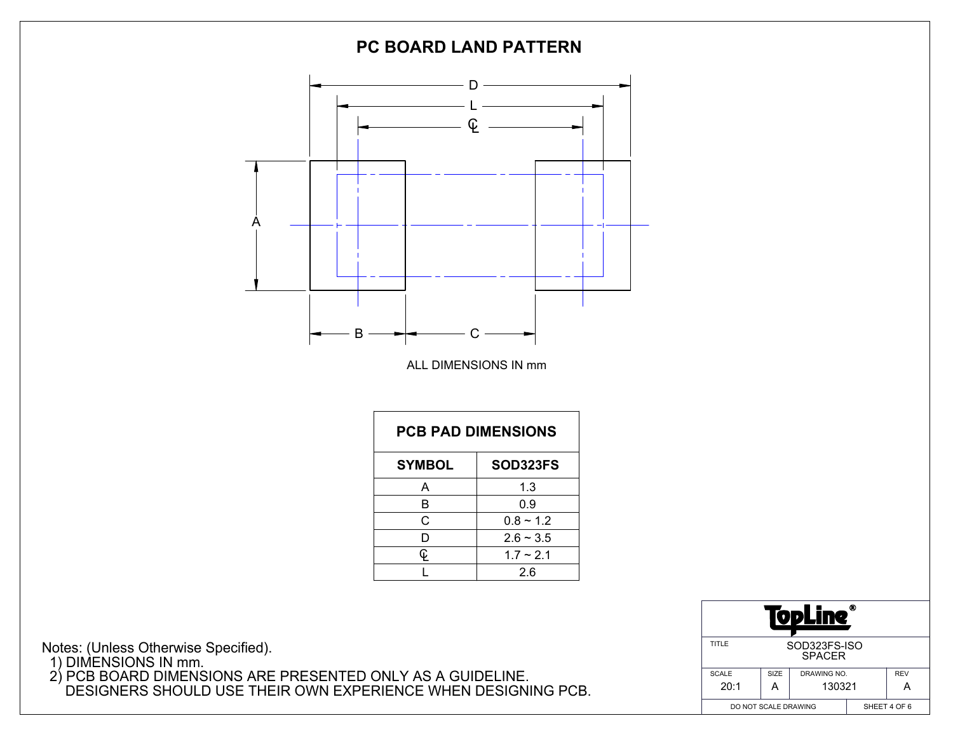

Notes: (Unless Otherwise Specified). 1) DIMENSIONS IN mm. 2) PCB BOARD DIMENSIONS ARE PRESENTED ONLY AS A GUIDELINE. DESIGNERS SHOULD USE THEIR OWN EXPERIENCE WHEN DESIGNING PCB.

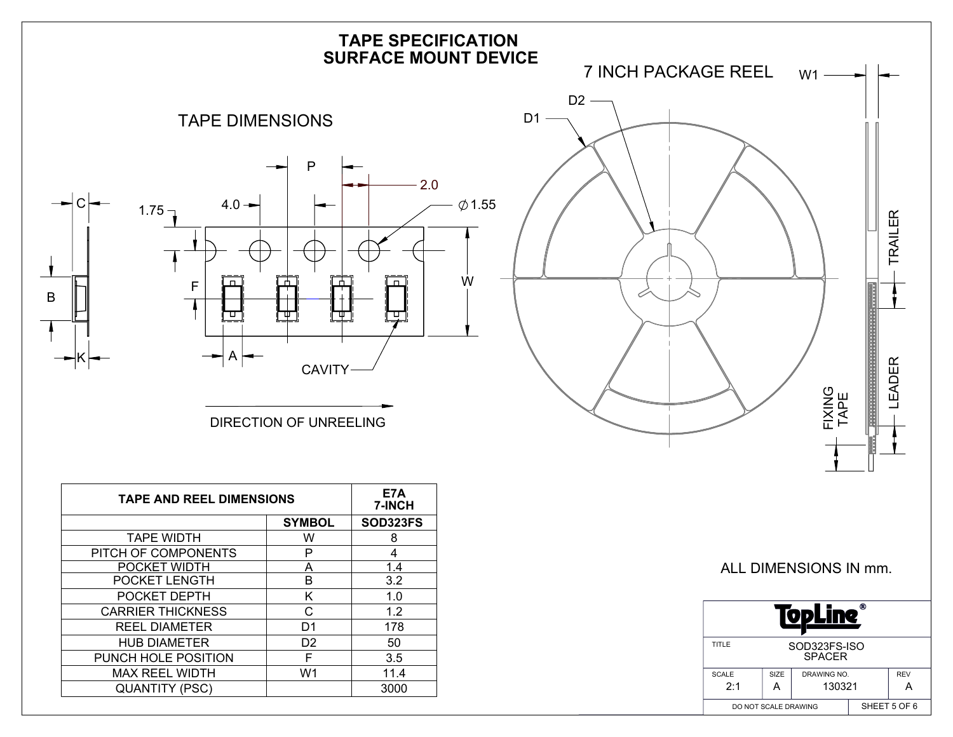